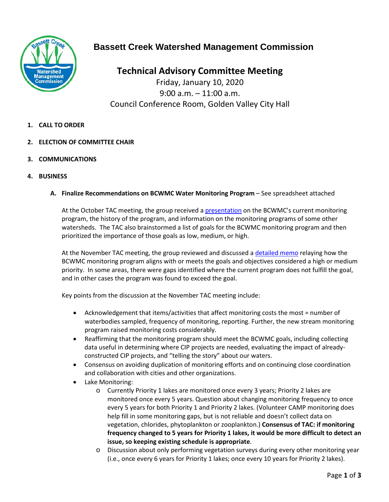

# **Bassett Creek Watershed Management Commission**

**Technical Advisory Committee Meeting** Friday, January 10, 2020 9:00 a.m. – 11:00 a.m. Council Conference Room, Golden Valley City Hall

- **1. CALL TO ORDER**
- **2. ELECTION OF COMMITTEE CHAIR**
- **3. COMMUNICATIONS**
- **4. BUSINESS**
	- **A. Finalize Recommendations on BCWMC Water Monitoring Program** See spreadsheet attached

At the October TAC meeting, the group received a [presentation](http://www.bassettcreekwmo.org/application/files/9815/7056/0055/10-2-19_Version-Oct_4_TAC_mtg_presentation.pdf) on the BCWMC's current monitoring program, the history of the program, and information on the monitoring programs of some other watersheds. The TAC also brainstormed a list of goals for the BCWMC monitoring program and then prioritized the importance of those goals as low, medium, or high.

At the November TAC meeting, the group reviewed and discussed [a detailed memo](http://www.bassettcreekwmo.org/application/files/8815/7594/2804/BCWMC_monitoring_prog_memo_revised.pdf) relaying how the BCWMC monitoring program aligns with or meets the goals and objectives considered a high or medium priority. In some areas, there were gaps identified where the current program does not fulfill the goal, and in other cases the program was found to exceed the goal.

Key points from the discussion at the November TAC meeting include:

- Acknowledgement that items/activities that affect monitoring costs the most = number of waterbodies sampled, frequency of monitoring, reporting. Further, the new stream monitoring program raised monitoring costs considerably.
- Reaffirming that the monitoring program should meet the BCWMC goals, including collecting data useful in determining where CIP projects are needed, evaluating the impact of alreadyconstructed CIP projects, and "telling the story" about our waters.
- Consensus on avoiding duplication of monitoring efforts and on continuing close coordination and collaboration with cities and other organizations.
- Lake Monitoring:
	- o Currently Priority 1 lakes are monitored once every 3 years; Priority 2 lakes are monitored once every 5 years. Question about changing monitoring frequency to once every 5 years for both Priority 1 and Priority 2 lakes. (Volunteer CAMP monitoring does help fill in some monitoring gaps, but is not reliable and doesn't collect data on vegetation, chlorides, phytoplankton or zooplankton.) **Consensus of TAC: if monitoring frequency changed to 5 years for Priority 1 lakes, it would be more difficult to detect an issue, so keeping existing schedule is appropriate**.
	- o Discussion about only performing vegetation surveys during every other monitoring year (i.e., once every 6 years for Priority 1 lakes; once every 10 years for Priority 2 lakes).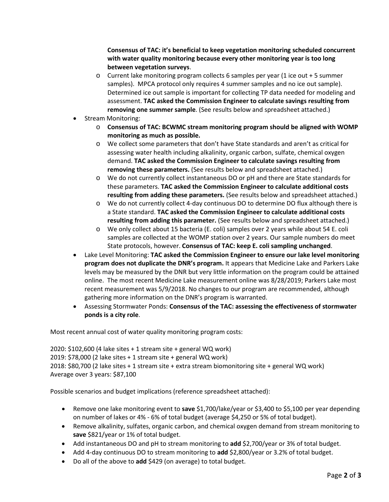**Consensus of TAC: it's beneficial to keep vegetation monitoring scheduled concurrent with water quality monitoring because every other monitoring year is too long between vegetation surveys**.

- o Current lake monitoring program collects 6 samples per year (1 ice out + 5 summer samples). MPCA protocol only requires 4 summer samples and no ice out sample). Determined ice out sample is important for collecting TP data needed for modeling and assessment. **TAC asked the Commission Engineer to calculate savings resulting from removing one summer sample**. (See results below and spreadsheet attached.)
- Stream Monitoring:
	- o **Consensus of TAC: BCWMC stream monitoring program should be aligned with WOMP monitoring as much as possible.**
	- o We collect some parameters that don't have State standards and aren't as critical for assessing water health including alkalinity, organic carbon, sulfate, chemical oxygen demand. **TAC asked the Commission Engineer to calculate savings resulting from removing these parameters.** (See results below and spreadsheet attached.)
	- o We do not currently collect instantaneous DO or pH and there are State standards for these parameters. **TAC asked the Commission Engineer to calculate additional costs resulting from adding these parameters.** (See results below and spreadsheet attached.)
	- o We do not currently collect 4-day continuous DO to determine DO flux although there is a State standard. **TAC asked the Commission Engineer to calculate additional costs resulting from adding this parameter.** (See results below and spreadsheet attached.)
	- o We only collect about 15 bacteria (E. coli) samples over 2 years while about 54 E. coli samples are collected at the WOMP station over 2 years. Our sample numbers do meet State protocols, however. **Consensus of TAC: keep E. coli sampling unchanged**.
- Lake Level Monitoring: **TAC asked the Commission Engineer to ensure our lake level monitoring program does not duplicate the DNR's program.** It appears that Medicine Lake and Parkers Lake levels may be measured by the DNR but very little information on the program could be attained online. The most recent Medicine Lake measurement online was 8/28/2019; Parkers Lake most recent measurement was 5/9/2018. No changes to our program are recommended, although gathering more information on the DNR's program is warranted.
- Assessing Stormwater Ponds: **Consensus of the TAC: assessing the effectiveness of stormwater ponds is a city role**.

Most recent annual cost of water quality monitoring program costs:

2020: \$102,600 (4 lake sites + 1 stream site + general WQ work) 2019: \$78,000 (2 lake sites + 1 stream site + general WQ work) 2018: \$80,700 (2 lake sites + 1 stream site + extra stream biomonitoring site + general WQ work) Average over 3 years: \$87,100

Possible scenarios and budget implications (reference spreadsheet attached):

- Remove one lake monitoring event to **save** \$1,700/lake/year or \$3,400 to \$5,100 per year depending on number of lakes or 4% - 6% of total budget (average \$4,250 or 5% of total budget).
- Remove alkalinity, sulfates, organic carbon, and chemical oxygen demand from stream monitoring to **save** \$821/year or 1% of total budget.
- Add instantaneous DO and pH to stream monitoring to **add** \$2,700/year or 3% of total budget.
- Add 4-day continuous DO to stream monitoring to **add** \$2,800/year or 3.2% of total budget.
- Do all of the above to **add** \$429 (on average) to total budget.